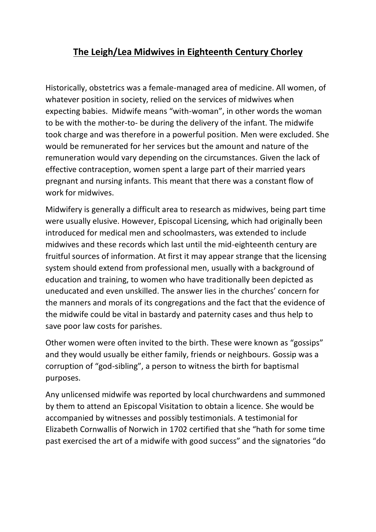## **The Leigh/Lea Midwives in Eighteenth Century Chorley**

Historically, obstetrics was a female-managed area of medicine. All women, of whatever position in society, relied on the services of midwives when expecting babies. Midwife means "with-woman", in other words the woman to be with the mother-to- be during the delivery of the infant. The midwife took charge and was therefore in a powerful position. Men were excluded. She would be remunerated for her services but the amount and nature of the remuneration would vary depending on the circumstances. Given the lack of effective contraception, women spent a large part of their married years pregnant and nursing infants. This meant that there was a constant flow of work for midwives.

Midwifery is generally a difficult area to research as midwives, being part time were usually elusive. However, Episcopal Licensing, which had originally been introduced for medical men and schoolmasters, was extended to include midwives and these records which last until the mid-eighteenth century are fruitful sources of information. At first it may appear strange that the licensing system should extend from professional men, usually with a background of education and training, to women who have traditionally been depicted as uneducated and even unskilled. The answer lies in the churches' concern for the manners and morals of its congregations and the fact that the evidence of the midwife could be vital in bastardy and paternity cases and thus help to save poor law costs for parishes.

Other women were often invited to the birth. These were known as "gossips" and they would usually be either family, friends or neighbours. Gossip was a corruption of "god-sibling", a person to witness the birth for baptismal purposes.

Any unlicensed midwife was reported by local churchwardens and summoned by them to attend an Episcopal Visitation to obtain a licence. She would be accompanied by witnesses and possibly testimonials. A testimonial for Elizabeth Cornwallis of Norwich in 1702 certified that she "hath for some time past exercised the art of a midwife with good success" and the signatories "do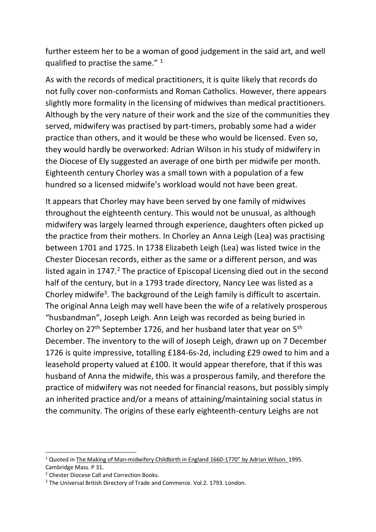further esteem her to be a woman of good judgement in the said art, and well qualified to practise the same." <sup>1</sup>

As with the records of medical practitioners, it is quite likely that records do not fully cover non-conformists and Roman Catholics. However, there appears slightly more formality in the licensing of midwives than medical practitioners. Although by the very nature of their work and the size of the communities they served, midwifery was practised by part-timers, probably some had a wider practice than others, and it would be these who would be licensed. Even so, they would hardly be overworked: Adrian Wilson in his study of midwifery in the Diocese of Ely suggested an average of one birth per midwife per month. Eighteenth century Chorley was a small town with a population of a few hundred so a licensed midwife's workload would not have been great.

It appears that Chorley may have been served by one family of midwives throughout the eighteenth century. This would not be unusual, as although midwifery was largely learned through experience, daughters often picked up the practice from their mothers. In Chorley an Anna Leigh (Lea) was practising between 1701 and 1725. In 1738 Elizabeth Leigh (Lea) was listed twice in the Chester Diocesan records, either as the same or a different person, and was listed again in  $1747<sup>2</sup>$ . The practice of Episcopal Licensing died out in the second half of the century, but in a 1793 trade directory, Nancy Lee was listed as a Chorley midwife<sup>3</sup>. The background of the Leigh family is difficult to ascertain. The original Anna Leigh may well have been the wife of a relatively prosperous "husbandman", Joseph Leigh. Ann Leigh was recorded as being buried in Chorley on 27th September 1726, and her husband later that year on 5th December. The inventory to the will of Joseph Leigh, drawn up on 7 December 1726 is quite impressive, totalling £184-6s-2d, including £29 owed to him and a leasehold property valued at £100. It would appear therefore, that if this was husband of Anna the midwife, this was a prosperous family, and therefore the practice of midwifery was not needed for financial reasons, but possibly simply an inherited practice and/or a means of attaining/maintaining social status in the community. The origins of these early eighteenth-century Leighs are not

<sup>&</sup>lt;sup>1</sup> Quoted in The Making of Man-midwifery Childbirth in England 1660-1770" by Adrian Wilson. 1995. Cambridge Mass. P 31.

<sup>2</sup> Chester Diocese Call and Correction Books.

<sup>&</sup>lt;sup>3</sup> The Universal British Directory of Trade and Commerce. Vol.2. 1793. London.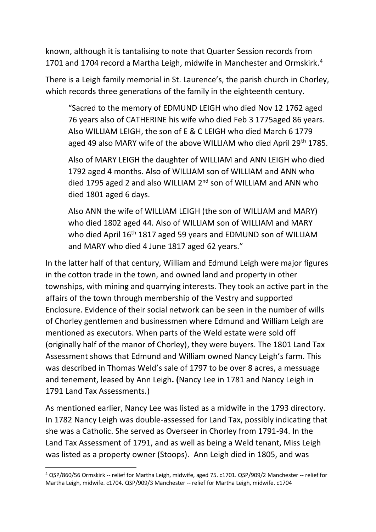known, although it is tantalising to note that Quarter Session records from 1701 and 1704 record a Martha Leigh, midwife in Manchester and Ormskirk. 4

There is a Leigh family memorial in St. Laurence's, the parish church in Chorley, which records three generations of the family in the eighteenth century.

"Sacred to the memory of EDMUND LEIGH who died Nov 12 1762 aged 76 years also of CATHERINE his wife who died Feb 3 1775aged 86 years. Also WILLIAM LEIGH, the son of E & C LEIGH who died March 6 1779 aged 49 also MARY wife of the above WILLIAM who died April 29<sup>th</sup> 1785.

Also of MARY LEIGH the daughter of WILLIAM and ANN LEIGH who died 1792 aged 4 months. Also of WILLIAM son of WILLIAM and ANN who died 1795 aged 2 and also WILLIAM 2<sup>nd</sup> son of WILLIAM and ANN who died 1801 aged 6 days.

Also ANN the wife of WILLIAM LEIGH (the son of WILLIAM and MARY) who died 1802 aged 44. Also of WILLIAM son of WILLIAM and MARY who died April 16<sup>th</sup> 1817 aged 59 years and EDMUND son of WILLIAM and MARY who died 4 June 1817 aged 62 years."

In the latter half of that century, William and Edmund Leigh were major figures in the cotton trade in the town, and owned land and property in other townships, with mining and quarrying interests. They took an active part in the affairs of the town through membership of the Vestry and supported Enclosure. Evidence of their social network can be seen in the number of wills of Chorley gentlemen and businessmen where Edmund and William Leigh are mentioned as executors. When parts of the Weld estate were sold off (originally half of the manor of Chorley), they were buyers. The 1801 Land Tax Assessment shows that Edmund and William owned Nancy Leigh's farm. This was described in Thomas Weld's sale of 1797 to be over 8 acres, a messuage and tenement, leased by Ann Leigh**. (**Nancy Lee in 1781 and Nancy Leigh in 1791 Land Tax Assessments.)

As mentioned earlier, Nancy Lee was listed as a midwife in the 1793 directory. In 1782 Nancy Leigh was double-assessed for Land Tax, possibly indicating that she was a Catholic. She served as Overseer in Chorley from 1791-94. In the Land Tax Assessment of 1791, and as well as being a Weld tenant, Miss Leigh was listed as a property owner (Stoops). Ann Leigh died in 1805, and was

<sup>4</sup> QSP/860/56 Ormskirk -- relief for Martha Leigh, midwife, aged 75. c1701. QSP/909/2 Manchester -- relief for Martha Leigh, midwife. c1704. QSP/909/3 Manchester -- relief for Martha Leigh, midwife. c1704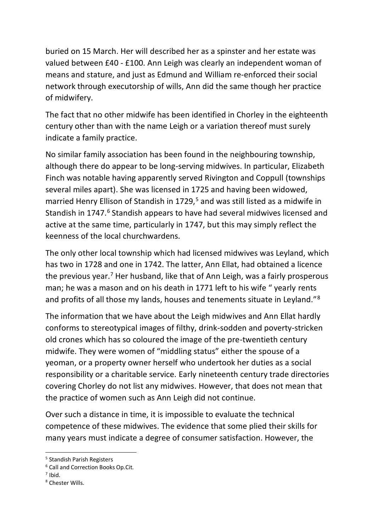buried on 15 March. Her will described her as a spinster and her estate was valued between £40 - £100. Ann Leigh was clearly an independent woman of means and stature, and just as Edmund and William re-enforced their social network through executorship of wills, Ann did the same though her practice of midwifery.

The fact that no other midwife has been identified in Chorley in the eighteenth century other than with the name Leigh or a variation thereof must surely indicate a family practice.

No similar family association has been found in the neighbouring township, although there do appear to be long-serving midwives. In particular, Elizabeth Finch was notable having apparently served Rivington and Coppull (townships several miles apart). She was licensed in 1725 and having been widowed, married Henry Ellison of Standish in 1729,<sup>5</sup> and was still listed as a midwife in Standish in 1747.<sup>6</sup> Standish appears to have had several midwives licensed and active at the same time, particularly in 1747, but this may simply reflect the keenness of the local churchwardens.

The only other local township which had licensed midwives was Leyland, which has two in 1728 and one in 1742. The latter, Ann Ellat, had obtained a licence the previous year.<sup>7</sup> Her husband, like that of Ann Leigh, was a fairly prosperous man; he was a mason and on his death in 1771 left to his wife " yearly rents and profits of all those my lands, houses and tenements situate in Leyland."<sup>8</sup>

The information that we have about the Leigh midwives and Ann Ellat hardly conforms to stereotypical images of filthy, drink-sodden and poverty-stricken old crones which has so coloured the image of the pre-twentieth century midwife. They were women of "middling status" either the spouse of a yeoman, or a property owner herself who undertook her duties as a social responsibility or a charitable service. Early nineteenth century trade directories covering Chorley do not list any midwives. However, that does not mean that the practice of women such as Ann Leigh did not continue.

Over such a distance in time, it is impossible to evaluate the technical competence of these midwives. The evidence that some plied their skills for many years must indicate a degree of consumer satisfaction. However, the

<sup>5</sup> Standish Parish Registers

<sup>6</sup> Call and Correction Books Op.Cit.

 $<sup>7</sup>$  Ibid.</sup>

<sup>8</sup> Chester Wills.